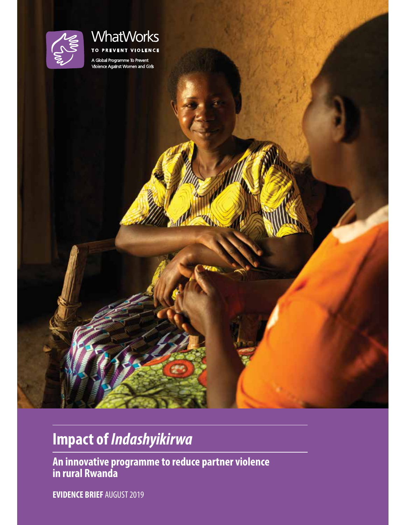

## **WhatWorks** TO PREVENT VIOLENCE

A Global Programme To Prevent<br>Violence Against Women and Girls

# **Impact of** *Indashyikirwa*

**An innovative programme to reduce partner violence in rural Rwanda**

**EVIDENCE BRIEF** AUGUST 2019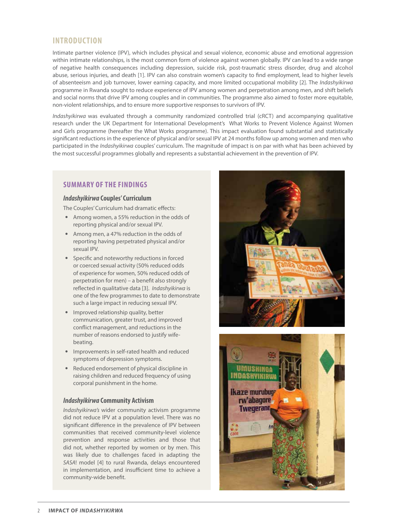## **INTRODUCTION**

Intimate partner violence (IPV), which includes physical and sexual violence, economic abuse and emotional aggression within intimate relationships, is the most common form of violence against women globally. IPV can lead to a wide range of negative health consequences including depression, suicide risk, post-traumatic stress disorder, drug and alcohol abuse, serious injuries, and death [1]. IPV can also constrain women's capacity to fnd employment, lead to higher levels of absenteeism and job turnover, lower earning capacity, and more limited occupational mobility [2]. The *Indashyikirwa*  programme in Rwanda sought to reduce experience of IPV among women and perpetration among men, and shift beliefs and social norms that drive IPV among couples and in communities. The programme also aimed to foster more equitable, non-violent relationships, and to ensure more supportive responses to survivors of IPV.

*Indashyikirwa* was evaluated through a community randomized controlled trial (cRCT) and accompanying qualitative research under the UK Department for International Development's What Works to Prevent Violence Against Women and Girls programme (hereafter the What Works programme). This impact evaluation found substantial and statistically signifcant reductions in the experience of physical and/or sexual IPV at 24 months follow up among women and men who participated in the *Indashyikirwa* couples' curriculum. The magnitude of impact is on par with what has been achieved by the most successful programmes globally and represents a substantial achievement in the prevention of IPV.

## **SUMMARY OF THE FINDINGS**

#### *Indashyikirwa* **Couples' Curriculum**

The Couples' Curriculum had dramatic effects:

- Among women, a 55% reduction in the odds of reporting physical and/or sexual IPV.
- Among men, a 47% reduction in the odds of reporting having perpetrated physical and/or sexual IPV.
- Specifc and noteworthy reductions in forced or coerced sexual activity (50% reduced odds of experience for women, 50% reduced odds of perpetration for men) – a beneft also strongly refected in qualitative data [3]. *Indashyikirwa* is one of the few programmes to date to demonstrate such a large impact in reducing sexual IPV.
- Improved relationship quality, better communication, greater trust, and improved confict management, and reductions in the number of reasons endorsed to justify wifebeating.
- Improvements in self-rated health and reduced symptoms of depression symptoms.
- Reduced endorsement of physical discipline in raising children and reduced frequency of using corporal punishment in the home.

#### *Indashyikirwa* **Community Activism**

*Indashyikirwa's* wider community activism programme did not reduce IPV at a population level. There was no signifcant diference in the prevalence of IPV between communities that received community-level violence prevention and response activities and those that did not, whether reported by women or by men. This was likely due to challenges faced in adapting the *SASA*! model [4] to rural Rwanda, delays encountered in implementation, and insufficient time to achieve a community-wide beneft.



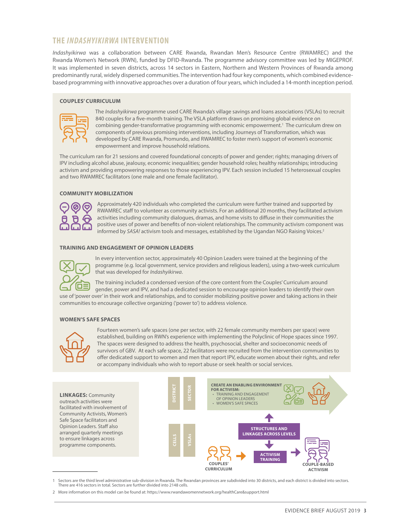## **THE** *INDASHYIKIRWA* **INTERVENTION**

*Indashyikirwa* was a collaboration between CARE Rwanda, Rwandan Men's Resource Centre (RWAMREC) and the Rwanda Women's Network (RWN), funded by DFID-Rwanda. The programme advisory committee was led by MIGEPROF. It was implemented in seven districts, across 14 sectors in Eastern, Northern and Western Provinces of Rwanda among predominantly rural, widely dispersed communities. The intervention had four key components, which combined evidencebased programming with innovative approaches over a duration of four years, which included a 14-month inception period.

#### **COUPLES' CURRICULUM**



The *Indashyikirwa* programme used CARE Rwanda's village savings and loans associations (VSLAs) to recruit 840 couples for a fve-month training. The VSLA platform draws on promising global evidence on combining gender-transformative programming with economic empowerment.1 The curriculum drew on components of previous promising interventions, including Journeys of Transformation, which was developed by CARE Rwanda, Promundo, and RWAMREC to foster men's support of women's economic empowerment and improve household relations.

The curriculum ran for 21 sessions and covered foundational concepts of power and gender; rights; managing drivers of IPV including alcohol abuse, jealousy, economic inequalities; gender household roles; healthy relationships; introducing activism and providing empowering responses to those experiencing IPV. Each session included 15 heterosexual couples and two RWAMREC facilitators (one male and one female facilitator).

#### **COMMUNITY MOBILIZATION**



Approximately 420 individuals who completed the curriculum were further trained and supported by RWAMREC staff to volunteer as community activists. For an additional 20 months, they facilitated activism activities including community dialogues, dramas, and home visits to difuse in their communities the positive uses of power and benefts of non-violent relationships. The community activism component was informed by *SASA!* activism tools and messages, established by the Ugandan NGO Raising Voices.2

#### **TRAINING AND ENGAGEMENT OF OPINION LEADERS**



In every intervention sector, approximately 40 Opinion Leaders were trained at the beginning of the programme (e.g. local government, service providers and religious leaders), using a two-week curriculum that was developed for *Indashyikirwa*.

The training included a condensed version of the core content from the Couples' Curriculum around gender, power and IPV, and had a dedicated session to encourage opinion leaders to identify their own use of 'power over' in their work and relationships, and to consider mobilizing positive power and taking actions in their communities to encourage collective organizing ('power to') to address violence.

#### **WOMEN'S SAFE SPACES**



Fourteen women's safe spaces (one per sector, with 22 female community members per space) were established, building on RWN's experience with implementing the Polyclinic of Hope spaces since 1997. The spaces were designed to address the health, psychosocial, shelter and socioeconomic needs of survivors of GBV. At each safe space, 22 facilitators were recruited from the intervention communities to ofer dedicated support to women and men that report IPV, educate women about their rights, and refer or accompany individuals who wish to report abuse or seek health or social services.

**LINKAGES:**Community outreach activities were facilitated with involvement of Community Activists, Women's Safe Space facilitators and Opinion Leaders. Staff also arranged quarterly meetings to ensure linkages across programme components. **CREATE AN ENABLING ENVIRONMENT FOR ACTIVISM:** • TRAINING AND ENGAGEMENT OF OPINION LEADERS • WOMEN'S SAFE SPACES **COUPLE-BASED ACTIVISM COUPLES' CURRICULUM ACTIVISM TRAINING STRUCTURES AND LINKAGES ACROSS LEVELS DISTRICT SECTOR CELLS VSLAs**

1 Sectors are the third level administrative sub-division in Rwanda. The Rwandan provinces are subdivided into 30 districts, and each district is divided into sectors. There are 416 sectors in total. Sectors are further divided into 2148 cells.

<sup>2</sup> More information on this model can be found at: https://www.rwandawomennetwork.org/healthCare&support.html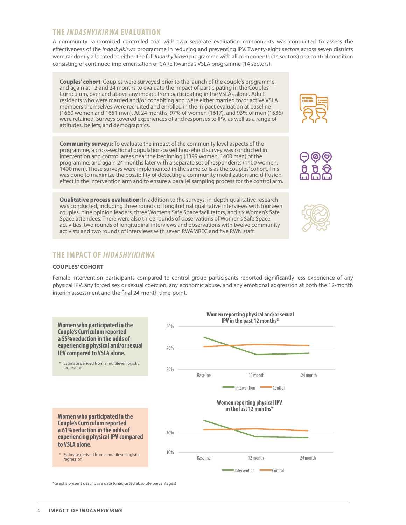## **THE** *INDASHYIKIRWA* **EVALUATION**

A community randomized controlled trial with two separate evaluation components was conducted to assess the efectiveness of the *Indashyikirwa* programme in reducing and preventing IPV. Twenty-eight sectors across seven districts were randomly allocated to either the full *Indashyikirwa* programme with all components (14 sectors) or a control condition consisting of continued implementation of CARE Rwanda's VSLA programme (14 sectors).

**Couples' cohort**: Couples were surveyed prior to the launch of the couple's programme, and again at 12 and 24 months to evaluate the impact of participating in the Couples' Curriculum, over and above any impact from participating in the VSLAs alone. Adult residents who were married and/or cohabiting and were either married to/or active VSLA members themselves were recruited and enrolled in the impact evaluation at baseline (1660 women and 1651 men). At 24 months, 97% of women (1617), and 93% of men (1536) were retained. Surveys covered experiences of and responses to IPV, as well as a range of attitudes, beliefs, and demographics.

**Community surveys**: To evaluate the impact of the community level aspects of the programme, a cross-sectional population-based household survey was conducted in intervention and control areas near the beginning (1399 women, 1400 men) of the programme, and again 24 months later with a separate set of respondents (1400 women, 1400 men). These surveys were implemented in the same cells as the couples' cohort. This was done to maximize the possibility of detecting a community mobilization and difusion efect in the intervention arm and to ensure a parallel sampling process for the control arm.

**Qualitative process evaluation**: In addition to the surveys, in-depth qualitative research was conducted, including three rounds of longitudinal qualitative interviews with fourteen couples, nine opinion leaders, three Women's Safe Space facilitators, and six Women's Safe Space attendees. There were also three rounds of observations of Women's Safe Space activities, two rounds of longitudinal interviews and observations with twelve community activists and two rounds of interviews with seven RWAMREC and fve RWN staf.

## **THE IMPACT OF** *INDASHYIKIRWA*

#### **COUPLES' COHORT**

Female intervention participants compared to control group participants reported signifcantly less experience of any physical IPV, any forced sex or sexual coercion, any economic abuse, and any emotional aggression at both the 12-month interim assessment and the fnal 24-month time-point.



\*Graphs present descriptive data (unadjusted absolute percentages)<br> **MPACT OF INDASHYIKIRWA** 





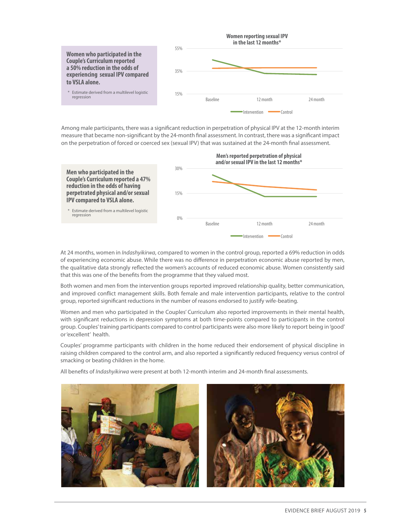

measure that became non-significant by the 24-month final assessment. In contrast, there was a significant impact Among male participants, there was a significant reduction in perpetration of physical IPV at the 12-month interim on the perpetration of forced or coerced sex (sexual IPV) that was sustained at the 24-month final assessment. in perpetration of physical IPV at the 12-month in



At 24 months, women in *Indashyikirwa*, compared to women in the control group, reported a 69% reduction in odds of experiencing economic abuse. While there was no diference in perpetration economic abuse reported by men, the qualitative data strongly refected the women's accounts of reduced economic abuse. Women consistently said that this was one of the benefts from the programme that they valued most.

Both women and men from the intervention groups reported improved relationship quality, better communication, and improved confict management skills. Both female and male intervention participants, relative to the control group, reported signifcant reductions in the number of reasons endorsed to justify wife-beating.

Women and men who participated in the Couples' Curriculum also reported improvements in their mental health, with signifcant reductions in depression symptoms at both time-points compared to participants in the control group. Couples' training participants compared to control participants were also more likely to report being in 'good' or 'excellent' health.

Couples' programme participants with children in the home reduced their endorsement of physical discipline in raising children compared to the control arm, and also reported a signifcantly reduced frequency versus control of smacking or beating children in the home.

All benefts of *Indashyikirwa* were present at both 12-month interim and 24-month fnal assessments.



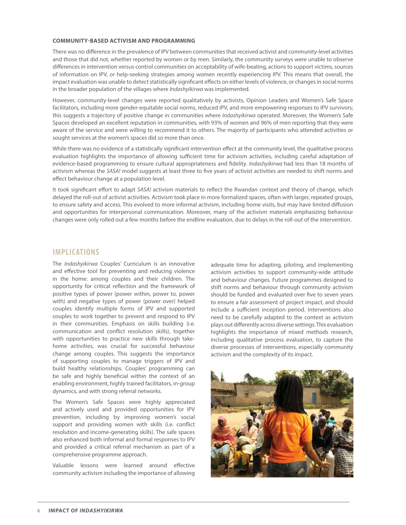#### **COMMUNITY-BASED ACTIVISM AND PROGRAMMING**

There was no diference in the prevalence of IPV between communities that received activist and community-level activities and those that did not, whether reported by women or by men. Similarly, the community surveys were unable to observe diferences in intervention versus control communities on acceptability of wife-beating, actions to support victims, sources of information on IPV, or help-seeking strategies among women recently experiencing IPV. This means that overall, the impact evaluation was unable to detect statistically significant effects on either levels of violence, or changes in social norms in the broader population of the villages where *Indashyikirwa* was implemented.

However, community-level changes were reported qualitatively by activists, Opinion Leaders and Women's Safe Space facilitators, including more gender-equitable social norms, reduced IPV, and more empowering responses to IPV survivors; this suggests a trajectory of positive change in communities where *Indashyikirwa* operated. Moreover, the Women's Safe Spaces developed an excellent reputation in communities, with 93% of women and 96% of men reporting that they were aware of the service and were willing to recommend it to others. The majority of participants who attended activities or sought services at the women's spaces did so more than once.

While there was no evidence of a statistically significant intervention effect at the community level, the qualitative process evaluation highlights the importance of allowing sufficient time for activism activities, including careful adaptation of evidence-based programming to ensure cultural appropriateness and fdelity. *Indashyikirwa* had less than 18 months of activism whereas the *SASA!* model suggests at least three to fve years of activist activities are needed to shift norms and efect behaviour change at a population level.

It took signifcant efort to adapt *SASA!* activism materials to refect the Rwandan context and theory of change, which delayed the roll-out of activist activities. Activism took place in more formalized spaces, often with larger, repeated groups, to ensure safety and access. This evolved to more informal activism, including home visits, but may have limited difusion and opportunities for interpersonal communication. Moreover, many of the activism materials emphasizing behaviour changes were only rolled out a few months before the endline evaluation, due to delays in the roll-out of the intervention.

### **IMPLICATIONS**

The *Indashyikirwa* Couples' Curriculum is an innovative and efective tool for preventing and reducing violence in the home: among couples and their children. The opportunity for critical refection and the framework of positive types of power (power within, power to, power with) and negative types of power (power over) helped couples identify multiple forms of IPV and supported couples to work together to prevent and respond to IPV in their communities. Emphasis on skills building (i.e. communication and confict resolution skills), together with opportunities to practice new skills through takehome activities, was crucial for successful behaviour change among couples. This suggests the importance of supporting couples to manage triggers of IPV and build healthy relationships. Couples' programming can be safe and highly benefcial within the context of an enabling environment, highly trained facilitators, in-group dynamics, and with strong referral networks.

The Women's Safe Spaces were highly appreciated and actively used and provided opportunities for IPV prevention, including by improving women's social support and providing women with skills (i.e. confict resolution and income-generating skills). The safe spaces also enhanced both informal and formal responses to IPV and provided a critical referral mechanism as part of a comprehensive programme approach.

Valuable lessons were learned around efective community activism including the importance of allowing

adequate time for adapting, piloting, and implementing activism activities to support community-wide attitude and behaviour changes. Future programmes designed to shift norms and behaviour through community activism should be funded and evaluated over five to seven years to ensure a fair assessment of project impact, and should include a sufficient inception period. Interventions also need to be carefully adapted to the context as activism plays out diferently across diverse settings. This evaluation highlights the importance of mixed methods research, including qualitative process evaluation, to capture the diverse processes of interventions, especially community activism and the complexity of its impact.

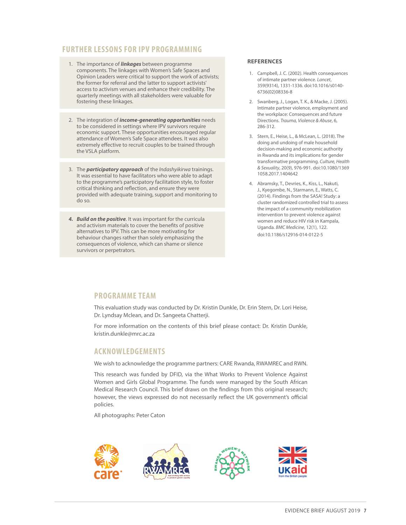## **FURTHER LESSONS FOR IPV PROGRAMMING**

- 1. The importance of *linkages* between programme components. The linkages with Women's Safe Spaces and Opinion Leaders were critical to support the work of activists; the former for referral and the latter to support activists' access to activism venues and enhance their credibility. The quarterly meetings with all stakeholders were valuable for fostering these linkages.
- 2. The integration of *income-generating opportunities* needs to be considered in settings where IPV survivors require economic support. These opportunities encouraged regular attendance of Women's Safe Space attendees. It was also extremely effective to recruit couples to be trained through the VSLA platform.
- 3. The *participatory approach* of the *Indashyikirwa* trainings. It was essential to have facilitators who were able to adapt to the programme's participatory facilitation style, to foster critical thinking and refection, and ensure they were provided with adequate training, support and monitoring to do so.
- *4. Build on the positive*. It was important for the curricula and activism materials to cover the benefts of positive alternatives to IPV. This can be more motivating for behaviour changes rather than solely emphasizing the consequences of violence, which can shame or silence survivors or perpetrators.

#### **REFERENCES**

- 1. Campbell, J. C. (2002). Health consequences of intimate partner violence. *Lancet*, 359(9314), 1331-1336. doi:10.1016/s0140- 6736(02)08336-8
- 2. Swanberg, J., Logan, T. K., & Macke, J. (2005). Intimate partner violence, employment and the workplace: Consequences and future Directions. *Trauma, Violence & Abuse*, 6, 286-312.
- 3. Stern, E., Heise, L., & McLean, L. (2018). The doing and undoing of male household decision-making and economic authority in Rwanda and its implications for gender transformative programming. *Culture, Health & Sexuality*, 20(9), 976-991. doi:10.1080/1369 1058.2017.1404642
- 4. Abramsky, T., Devries, K., Kiss, L., Nakuti, J., Kyegombe, N., Starmann, E., Watts, C. (2014). Findings from the SASA! Study: a cluster randomized controlled trial to assess the impact of a community mobilization intervention to prevent violence against women and reduce HIV risk in Kampala, Uganda. *BMC Medicine*, 12(1), 122. doi:10.1186/s12916-014-0122-5

## **PROGRAMME TEAM**

This evaluation study was conducted by Dr. Kristin Dunkle, Dr. Erin Stern, Dr. Lori Heise, Dr. Lyndsay Mclean, and Dr. Sangeeta Chatterji.

For more information on the contents of this brief please contact: Dr. Kristin Dunkle, kristin.dunkle@mrc.ac.za

## **ACKNOWLEDGEMENTS**

We wish to acknowledge the programme partners: CARE Rwanda, RWAMREC and RWN.

This research was funded by DFID, via the What Works to Prevent Violence Against Women and Girls Global Programme. The funds were managed by the South African Medical Research Council. This brief draws on the fndings from this original research; however, the views expressed do not necessarily reflect the UK government's official policies.

All photographs: Peter Caton